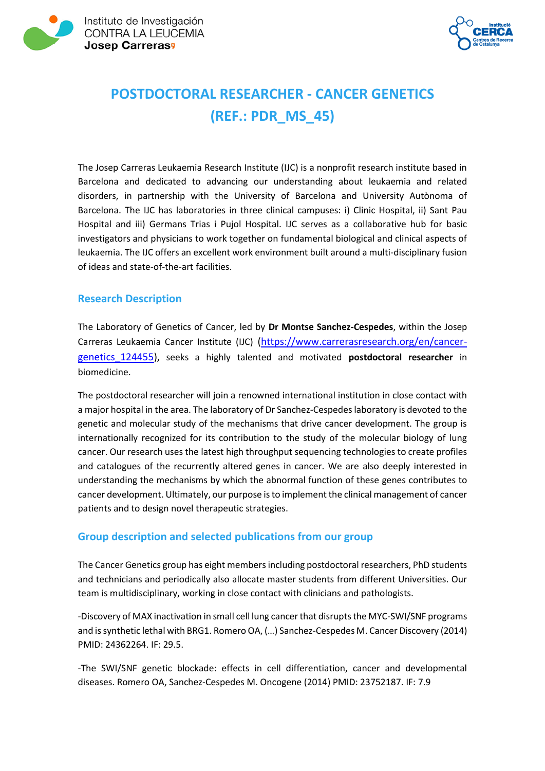



# **POSTDOCTORAL RESEARCHER - CANCER GENETICS (REF.: PDR\_MS\_45)**

The Josep Carreras Leukaemia Research Institute (IJC) is a nonprofit research institute based in Barcelona and dedicated to advancing our understanding about leukaemia and related disorders, in partnership with the University of Barcelona and University Autònoma of Barcelona. The IJC has laboratories in three clinical campuses: i) Clinic Hospital, ii) Sant Pau Hospital and iii) Germans Trias i Pujol Hospital. IJC serves as a collaborative hub for basic investigators and physicians to work together on fundamental biological and clinical aspects of leukaemia. The IJC offers an excellent work environment built around a multi-disciplinary fusion of ideas and state-of-the-art facilities.

## **Research Description**

The Laboratory of Genetics of Cancer, led by **Dr Montse Sanchez-Cespedes**, within the Josep Carreras Leukaemia Cancer Institute (IJC) [\(https://www.carrerasresearch.org/en/cancer](https://www.carrerasresearch.org/en/cancer-genetics_124455)[genetics\\_124455\)](https://www.carrerasresearch.org/en/cancer-genetics_124455), seeks a highly talented and motivated **postdoctoral researcher** in biomedicine.

The postdoctoral researcher will join a renowned international institution in close contact with a major hospital in the area. The laboratory of Dr Sanchez-Cespedes laboratory is devoted to the genetic and molecular study of the mechanisms that drive cancer development. The group is internationally recognized for its contribution to the study of the molecular biology of lung cancer. Our research uses the latest high throughput sequencing technologies to create profiles and catalogues of the recurrently altered genes in cancer. We are also deeply interested in understanding the mechanisms by which the abnormal function of these genes contributes to cancer development. Ultimately, our purpose is to implement the clinical management of cancer patients and to design novel therapeutic strategies.

## **Group description and selected publications from our group**

The Cancer Genetics group has eight members including postdoctoral researchers, PhD students and technicians and periodically also allocate master students from different Universities. Our team is multidisciplinary, working in close contact with clinicians and pathologists.

-Discovery of MAX inactivation in small cell lung cancer that disrupts the MYC-SWI/SNF programs and is synthetic lethal with BRG1. Romero OA, (…) Sanchez-Cespedes M. Cancer Discovery (2014) PMID: 24362264. IF: 29.5.

-The SWI/SNF genetic blockade: effects in cell differentiation, cancer and developmental diseases. Romero OA, Sanchez-Cespedes M. Oncogene (2014) PMID: 23752187. IF: 7.9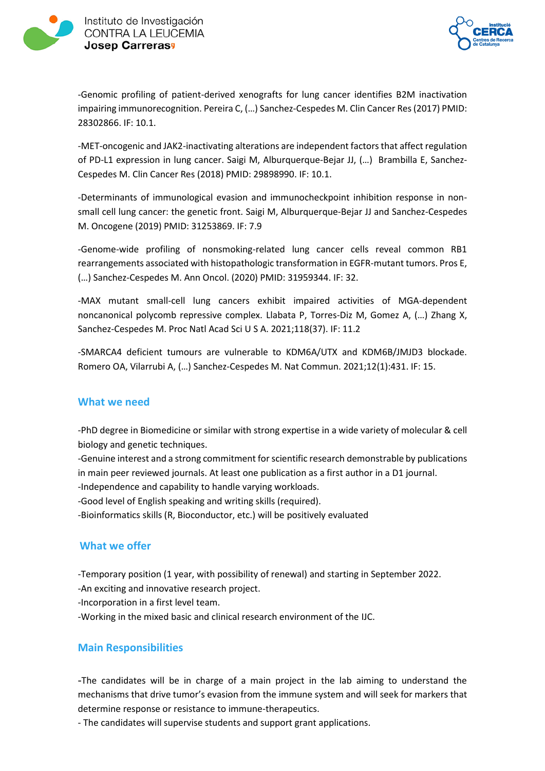

Instituto de Investigación CONTRA LA LEUCEMIA **Josep Carreras<sup>9</sup>** 



-Genomic profiling of patient-derived xenografts for lung cancer identifies B2M inactivation impairing immunorecognition. Pereira C, (…) Sanchez-Cespedes M. Clin Cancer Res (2017) PMID: 28302866. IF: 10.1.

-MET-oncogenic and JAK2-inactivating alterations are independent factors that affect regulation of PD-L1 expression in lung cancer. Saigi M, Alburquerque-Bejar JJ, (…) Brambilla E, Sanchez-Cespedes M. Clin Cancer Res (2018) PMID: 29898990. IF: 10.1.

-Determinants of immunological evasion and immunocheckpoint inhibition response in nonsmall cell lung cancer: the genetic front. Saigi M, Alburquerque-Bejar JJ and Sanchez-Cespedes M. Oncogene (2019) PMID: 31253869. IF: 7.9

-Genome-wide profiling of nonsmoking-related lung cancer cells reveal common RB1 rearrangements associated with histopathologic transformation in EGFR-mutant tumors. Pros E, (…) Sanchez-Cespedes M. Ann Oncol. (2020) PMID: 31959344. IF: 32.

-MAX mutant small-cell lung cancers exhibit impaired activities of MGA-dependent noncanonical polycomb repressive complex. Llabata P, Torres-Diz M, Gomez A, (…) Zhang X, Sanchez-Cespedes M. Proc Natl Acad Sci U S A. 2021;118(37). IF: 11.2

-SMARCA4 deficient tumours are vulnerable to KDM6A/UTX and KDM6B/JMJD3 blockade. Romero OA, Vilarrubi A, (…) Sanchez-Cespedes M. Nat Commun. 2021;12(1):431. IF: 15.

#### **What we need**

-PhD degree in Biomedicine or similar with strong expertise in a wide variety of molecular & cell biology and genetic techniques.

-Genuine interest and a strong commitment for scientific research demonstrable by publications in main peer reviewed journals. At least one publication as a first author in a D1 journal.

-Independence and capability to handle varying workloads.

-Good level of English speaking and writing skills (required).

-Bioinformatics skills (R, Bioconductor, etc.) will be positively evaluated

## **What we offer**

-Temporary position (1 year, with possibility of renewal) and starting in September 2022.

-An exciting and innovative research project.

-Incorporation in a first level team.

-Working in the mixed basic and clinical research environment of the IJC.

## **Main Responsibilities**

-The candidates will be in charge of a main project in the lab aiming to understand the mechanisms that drive tumor's evasion from the immune system and will seek for markers that determine response or resistance to immune-therapeutics.

- The candidates will supervise students and support grant applications.